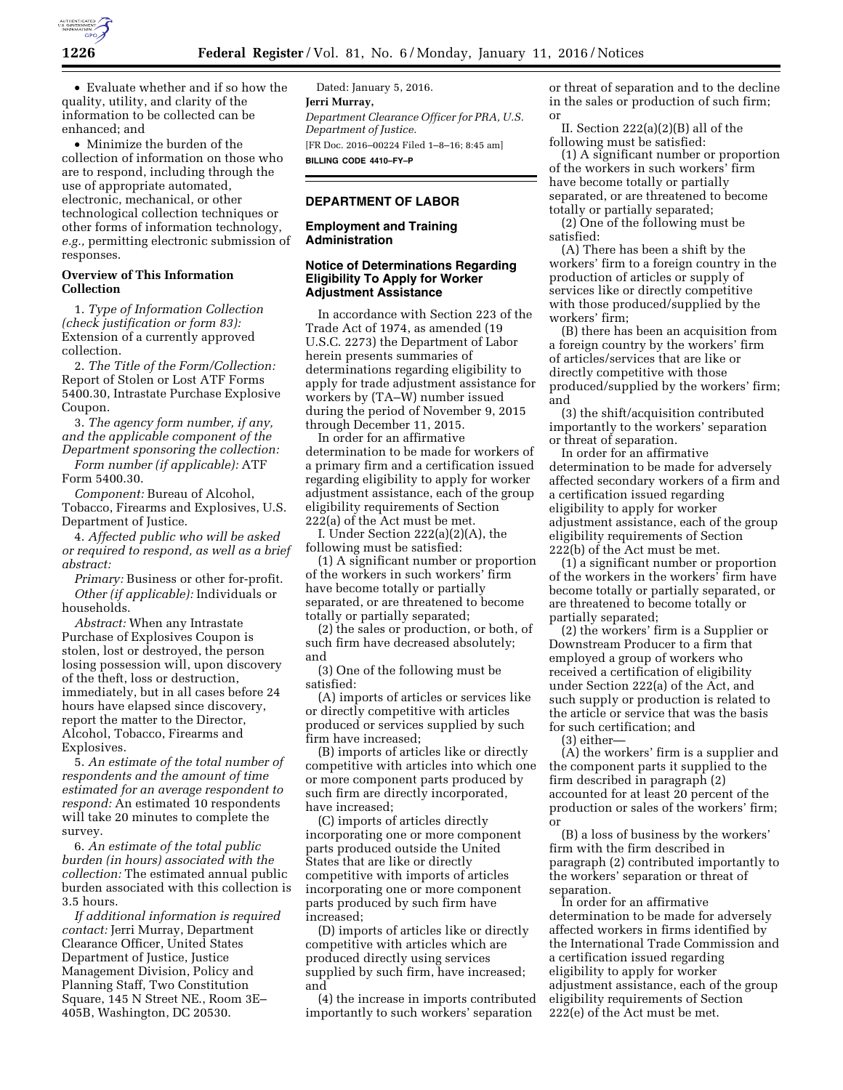

• Evaluate whether and if so how the quality, utility, and clarity of the information to be collected can be enhanced; and

• Minimize the burden of the collection of information on those who are to respond, including through the use of appropriate automated, electronic, mechanical, or other technological collection techniques or other forms of information technology, *e.g.,* permitting electronic submission of responses.

### **Overview of This Information Collection**

1. *Type of Information Collection (check justification or form 83):*  Extension of a currently approved collection.

2. *The Title of the Form/Collection:*  Report of Stolen or Lost ATF Forms 5400.30, Intrastate Purchase Explosive Coupon.

3. *The agency form number, if any, and the applicable component of the Department sponsoring the collection:* 

*Form number (if applicable):* ATF Form 5400.30.

*Component:* Bureau of Alcohol, Tobacco, Firearms and Explosives, U.S. Department of Justice.

4. *Affected public who will be asked or required to respond, as well as a brief abstract:* 

*Primary:* Business or other for-profit. *Other (if applicable):* Individuals or households.

*Abstract:* When any Intrastate Purchase of Explosives Coupon is stolen, lost or destroyed, the person losing possession will, upon discovery of the theft, loss or destruction, immediately, but in all cases before 24 hours have elapsed since discovery, report the matter to the Director, Alcohol, Tobacco, Firearms and Explosives.

5. *An estimate of the total number of respondents and the amount of time estimated for an average respondent to respond:* An estimated 10 respondents will take 20 minutes to complete the survey.

6. *An estimate of the total public burden (in hours) associated with the collection:* The estimated annual public burden associated with this collection is 3.5 hours.

*If additional information is required contact:* Jerri Murray, Department Clearance Officer, United States Department of Justice, Justice Management Division, Policy and Planning Staff, Two Constitution Square, 145 N Street NE., Room 3E– 405B, Washington, DC 20530.

Dated: January 5, 2016. **Jerri Murray,**  *Department Clearance Officer for PRA, U.S. Department of Justice.*  [FR Doc. 2016–00224 Filed 1–8–16; 8:45 am] **BILLING CODE 4410–FY–P** 

# **DEPARTMENT OF LABOR**

### **Employment and Training Administration**

### **Notice of Determinations Regarding Eligibility To Apply for Worker Adjustment Assistance**

In accordance with Section 223 of the Trade Act of 1974, as amended (19 U.S.C. 2273) the Department of Labor herein presents summaries of determinations regarding eligibility to apply for trade adjustment assistance for workers by (TA–W) number issued during the period of November 9, 2015 through December 11, 2015.

In order for an affirmative determination to be made for workers of a primary firm and a certification issued regarding eligibility to apply for worker adjustment assistance, each of the group eligibility requirements of Section  $222(a)$  of the Act must be met.

I. Under Section 222(a)(2)(A), the following must be satisfied:

(1) A significant number or proportion of the workers in such workers' firm have become totally or partially separated, or are threatened to become totally or partially separated;

(2) the sales or production, or both, of such firm have decreased absolutely; and

(3) One of the following must be satisfied:

(A) imports of articles or services like or directly competitive with articles produced or services supplied by such firm have increased;

(B) imports of articles like or directly competitive with articles into which one or more component parts produced by such firm are directly incorporated, have increased;

(C) imports of articles directly incorporating one or more component parts produced outside the United States that are like or directly competitive with imports of articles incorporating one or more component parts produced by such firm have increased;

(D) imports of articles like or directly competitive with articles which are produced directly using services supplied by such firm, have increased; and

(4) the increase in imports contributed importantly to such workers' separation

or threat of separation and to the decline in the sales or production of such firm; or

II. Section 222(a)(2)(B) all of the following must be satisfied:

(1) A significant number or proportion of the workers in such workers' firm have become totally or partially separated, or are threatened to become totally or partially separated;

(2) One of the following must be satisfied:

(A) There has been a shift by the workers' firm to a foreign country in the production of articles or supply of services like or directly competitive with those produced/supplied by the workers' firm;

(B) there has been an acquisition from a foreign country by the workers' firm of articles/services that are like or directly competitive with those produced/supplied by the workers' firm; and

(3) the shift/acquisition contributed importantly to the workers' separation or threat of separation.

In order for an affirmative determination to be made for adversely affected secondary workers of a firm and a certification issued regarding eligibility to apply for worker adjustment assistance, each of the group eligibility requirements of Section 222(b) of the Act must be met.

(1) a significant number or proportion of the workers in the workers' firm have become totally or partially separated, or are threatened to become totally or partially separated;

(2) the workers' firm is a Supplier or Downstream Producer to a firm that employed a group of workers who received a certification of eligibility under Section 222(a) of the Act, and such supply or production is related to the article or service that was the basis for such certification; and

(3) either—

(A) the workers' firm is a supplier and the component parts it supplied to the firm described in paragraph (2) accounted for at least 20 percent of the production or sales of the workers' firm; or

(B) a loss of business by the workers' firm with the firm described in paragraph (2) contributed importantly to the workers' separation or threat of separation.

In order for an affirmative determination to be made for adversely affected workers in firms identified by the International Trade Commission and a certification issued regarding eligibility to apply for worker adjustment assistance, each of the group eligibility requirements of Section 222(e) of the Act must be met.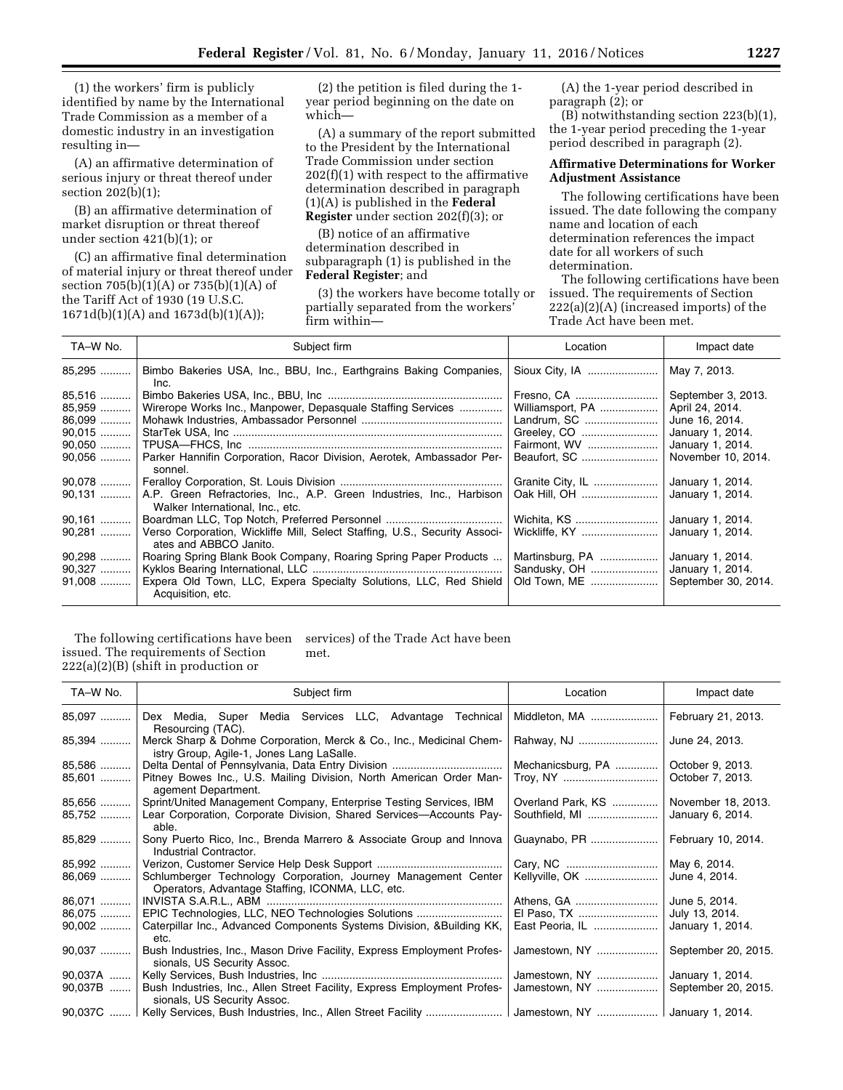(1) the workers' firm is publicly identified by name by the International Trade Commission as a member of a domestic industry in an investigation resulting in—

(A) an affirmative determination of serious injury or threat thereof under section 202(b)(1);

(B) an affirmative determination of market disruption or threat thereof under section 421(b)(1); or

(C) an affirmative final determination of material injury or threat thereof under section 705(b)(1)(A) or 735(b)(1)(A) of the Tariff Act of 1930 (19 U.S.C. 1671d(b)(1)(A) and 1673d(b)(1)(A));

(2) the petition is filed during the 1 year period beginning on the date on which—

(A) a summary of the report submitted to the President by the International Trade Commission under section 202(f)(1) with respect to the affirmative determination described in paragraph (1)(A) is published in the **Federal Register** under section 202(f)(3); or

(B) notice of an affirmative determination described in subparagraph (1) is published in the **Federal Register**; and

(3) the workers have become totally or partially separated from the workers' firm within—

(A) the 1-year period described in paragraph (2); or

(B) notwithstanding section 223(b)(1), the 1-year period preceding the 1-year period described in paragraph (2).

# **Affirmative Determinations for Worker Adjustment Assistance**

The following certifications have been issued. The date following the company name and location of each determination references the impact date for all workers of such determination.

The following certifications have been issued. The requirements of Section 222(a)(2)(A) (increased imports) of the Trade Act have been met.

| TA-W No. | Subject firm                                                                                             | Location         | Impact date         |
|----------|----------------------------------------------------------------------------------------------------------|------------------|---------------------|
| 85,295   | Bimbo Bakeries USA, Inc., BBU, Inc., Earthgrains Baking Companies,<br>Inc.                               | Sioux City, IA   | May 7, 2013.        |
| 85,516   |                                                                                                          | Fresno, CA       | September 3, 2013.  |
| 85,959   | Wirerope Works Inc., Manpower, Depasquale Staffing Services                                              | Williamsport, PA | April 24, 2014.     |
| 86,099   |                                                                                                          | Landrum, SC      | June 16, 2014.      |
| $90.015$ |                                                                                                          | Greeley, CO      | January 1, 2014.    |
| $90.050$ |                                                                                                          | Fairmont, WV     | January 1, 2014.    |
| $90,056$ | Parker Hannifin Corporation, Racor Division, Aerotek, Ambassador Per-<br>sonnel.                         |                  | November 10, 2014.  |
| $90.078$ |                                                                                                          | Granite City, IL | January 1, 2014.    |
| $90,131$ | A.P. Green Refractories, Inc., A.P. Green Industries, Inc., Harbison<br>Walker International, Inc., etc. | Oak Hill, OH     | January 1, 2014.    |
| $90,161$ |                                                                                                          | Wichita, KS      | January 1, 2014.    |
| 90.281   | Verso Corporation, Wickliffe Mill, Select Staffing, U.S., Security Associ-<br>ates and ABBCO Janito.     | Wickliffe, KY    | January 1, 2014.    |
| $90,298$ | Roaring Spring Blank Book Company, Roaring Spring Paper Products                                         | Martinsburg, PA  | January 1, 2014.    |
| 90,327   |                                                                                                          | Sandusky, OH     | January 1, 2014.    |
| $91,008$ | Expera Old Town, LLC, Expera Specialty Solutions, LLC, Red Shield<br>Acquisition, etc.                   | Old Town, ME     | September 30, 2014. |

#### The following certifications have been issued. The requirements of Section 222(a)(2)(B) (shift in production or services) of the Trade Act have been met.

| TA-W No.           | Subject firm                                                                                                       | Location                            | Impact date                          |
|--------------------|--------------------------------------------------------------------------------------------------------------------|-------------------------------------|--------------------------------------|
| 85,097             | Dex Media, Super Media Services LLC, Advantage Technical<br>Resourcing (TAC).                                      | Middleton, MA                       | February 21, 2013.                   |
| 85,394             | Merck Sharp & Dohme Corporation, Merck & Co., Inc., Medicinal Chem-<br>istry Group, Agile-1, Jones Lang LaSalle.   | Rahway, NJ                          | June 24, 2013.                       |
| 85,586<br>$85,601$ | Pitney Bowes Inc., U.S. Mailing Division, North American Order Man-                                                | Mechanicsburg, PA<br>Troy, NY       | October 9, 2013.<br>October 7, 2013. |
| 85,656             | agement Department.<br>Sprint/United Management Company, Enterprise Testing Services, IBM                          |                                     | November 18, 2013.                   |
| 85,752             | Lear Corporation, Corporate Division, Shared Services-Accounts Pay-<br>able.                                       | Overland Park, KS<br>Southfield, MI | January 6, 2014.                     |
| 85,829             | Sony Puerto Rico, Inc., Brenda Marrero & Associate Group and Innova<br>Industrial Contractor.                      | Guaynabo, PR                        | February 10, 2014.                   |
| 85,992             |                                                                                                                    |                                     | May 6, 2014.                         |
| $86,069$           | Schlumberger Technology Corporation, Journey Management Center<br>Operators, Advantage Staffing, ICONMA, LLC, etc. | Kellyville, OK                      | June 4, 2014.                        |
| 86,071             |                                                                                                                    | Athens, GA                          | June 5, 2014.                        |
| 86,075             | EPIC Technologies, LLC, NEO Technologies Solutions                                                                 |                                     | July 13, 2014.                       |
| $90,002$           | Caterpillar Inc., Advanced Components Systems Division, & Building KK,<br>etc.                                     | East Peoria, IL                     | January 1, 2014.                     |
| 90,037             | Bush Industries, Inc., Mason Drive Facility, Express Employment Profes-<br>sionals, US Security Assoc.             | Jamestown, NY                       | September 20, 2015.                  |
| 90,037A            |                                                                                                                    | Jamestown, NY                       | January 1, 2014.                     |
| 90,037B            | Bush Industries, Inc., Allen Street Facility, Express Employment Profes-<br>sionals, US Security Assoc.            | Jamestown, NY                       | September 20, 2015.                  |
|                    | 90,037C    Kelly Services, Bush Industries, Inc., Allen Street Facility    Jamestown, NY    January 1, 2014.       |                                     |                                      |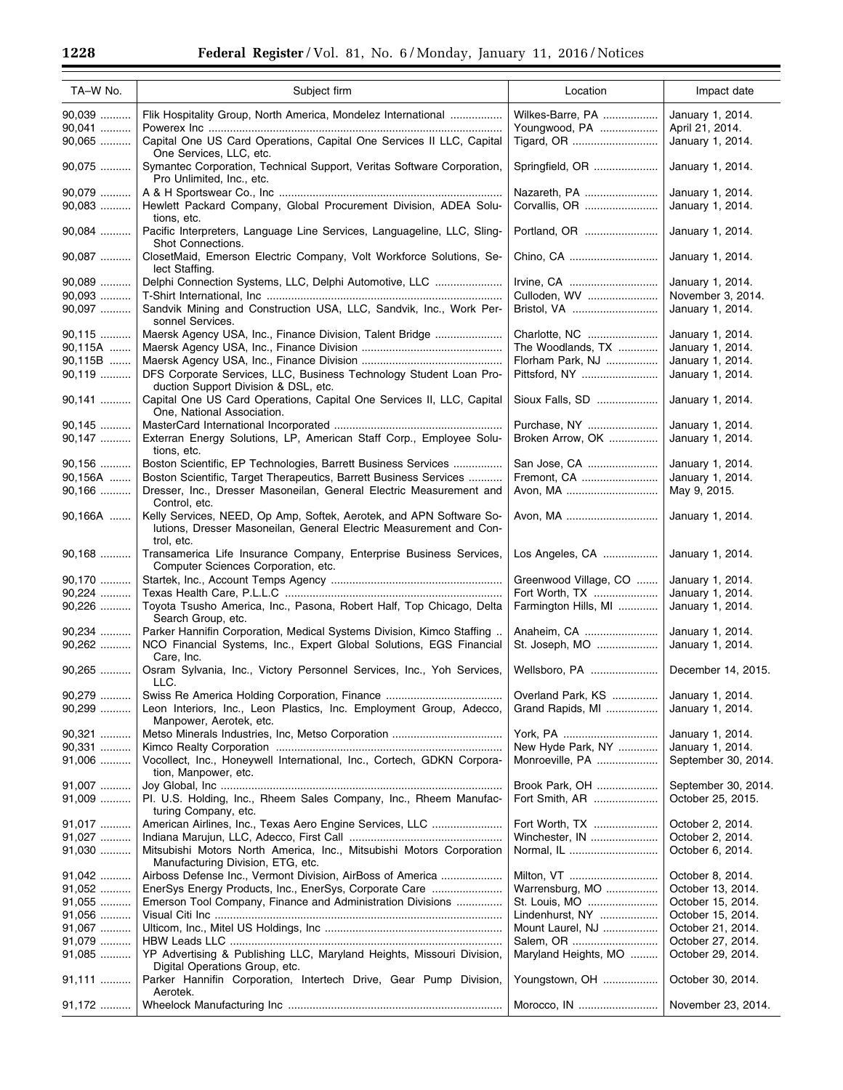| TA-W No.                       | Subject firm                                                                                                                                                         | Location                                               | Impact date                                              |
|--------------------------------|----------------------------------------------------------------------------------------------------------------------------------------------------------------------|--------------------------------------------------------|----------------------------------------------------------|
| 90,039                         | Flik Hospitality Group, North America, Mondelez International                                                                                                        | Wilkes-Barre, PA                                       | January 1, 2014.                                         |
| 90,041<br>90,065               | Capital One US Card Operations, Capital One Services II LLC, Capital<br>One Services, LLC, etc.                                                                      | Youngwood, PA                                          | April 21, 2014.<br>January 1, 2014.                      |
| 90,075                         | Symantec Corporation, Technical Support, Veritas Software Corporation,<br>Pro Unlimited, Inc., etc.                                                                  | Springfield, OR                                        | January 1, 2014.                                         |
| 90,079<br>90,083               | Hewlett Packard Company, Global Procurement Division, ADEA Solu-                                                                                                     | Nazareth, PA<br>Corvallis, OR                          | January 1, 2014.<br>January 1, 2014.                     |
| 90,084                         | tions, etc.<br>Pacific Interpreters, Language Line Services, Languageline, LLC, Sling-<br>Shot Connections.                                                          | Portland, OR                                           | January 1, 2014.                                         |
| 90,087                         | ClosetMaid, Emerson Electric Company, Volt Workforce Solutions, Se-<br>lect Staffing.                                                                                | Chino, CA                                              | January 1, 2014.                                         |
| 90,089<br>90,093               | Delphi Connection Systems, LLC, Delphi Automotive, LLC                                                                                                               | Irvine, CA<br>Culloden, WV                             | January 1, 2014.<br>November 3, 2014.                    |
| 90,097                         | Sandvik Mining and Construction USA, LLC, Sandvik, Inc., Work Per-<br>sonnel Services.                                                                               | Bristol, VA                                            | January 1, 2014.                                         |
| 90,115<br>90,115A<br>$90,115B$ | Maersk Agency USA, Inc., Finance Division, Talent Bridge                                                                                                             | Charlotte, NC<br>The Woodlands, TX<br>Florham Park, NJ | January 1, 2014.<br>January 1, 2014.<br>January 1, 2014. |
| 90,119                         | DFS Corporate Services, LLC, Business Technology Student Loan Pro-<br>duction Support Division & DSL, etc.                                                           | Pittsford, NY                                          | January 1, 2014.                                         |
| 90,141                         | Capital One US Card Operations, Capital One Services II, LLC, Capital<br>One, National Association.                                                                  | Sioux Falls, SD                                        | January 1, 2014.                                         |
| 90,145                         |                                                                                                                                                                      | Purchase, NY                                           | January 1, 2014.                                         |
| 90,147                         | Exterran Energy Solutions, LP, American Staff Corp., Employee Solu-<br>tions, etc.                                                                                   | Broken Arrow, OK                                       | January 1, 2014.                                         |
| 90,156                         | Boston Scientific, EP Technologies, Barrett Business Services                                                                                                        | San Jose, CA<br>Fremont, CA                            | January 1, 2014.<br>January 1, 2014.                     |
| $90,156A$<br>90,166            | Boston Scientific, Target Therapeutics, Barrett Business Services<br>Dresser, Inc., Dresser Masoneilan, General Electric Measurement and<br>Control, etc.            | Avon, MA                                               | May 9, 2015.                                             |
| $90,166A$                      | Kelly Services, NEED, Op Amp, Softek, Aerotek, and APN Software So-<br>lutions, Dresser Masoneilan, General Electric Measurement and Con-<br>trol, etc.              | Avon, MA                                               | January 1, 2014.                                         |
| 90,168                         | Transamerica Life Insurance Company, Enterprise Business Services,<br>Computer Sciences Corporation, etc.                                                            | Los Angeles, CA                                        | January 1, 2014.                                         |
| 90,170                         |                                                                                                                                                                      | Greenwood Village, CO                                  | January 1, 2014.                                         |
| 90,224                         |                                                                                                                                                                      | Fort Worth, TX                                         | January 1, 2014.                                         |
| 90,226<br>90,234               | Toyota Tsusho America, Inc., Pasona, Robert Half, Top Chicago, Delta<br>Search Group, etc.<br>Parker Hannifin Corporation, Medical Systems Division, Kimco Staffing. | Farmington Hills, MI<br>Anaheim, CA                    | January 1, 2014.<br>January 1, 2014.                     |
| 90,262                         | NCO Financial Systems, Inc., Expert Global Solutions, EGS Financial<br>Care, Inc.                                                                                    | St. Joseph, MO                                         | January 1, 2014.                                         |
| 90,265                         | Osram Sylvania, Inc., Victory Personnel Services, Inc., Yoh Services,<br>LLC.                                                                                        | Wellsboro, PA                                          | December 14, 2015.                                       |
| 90,279<br>90,299               | Leon Interiors, Inc., Leon Plastics, Inc. Employment Group, Adecco,<br>Manpower, Aerotek, etc.                                                                       | Overland Park, KS<br>Grand Rapids, MI                  | January 1, 2014.<br>January 1, 2014.                     |
| 90,321                         |                                                                                                                                                                      | York, PA                                               | January 1, 2014.                                         |
| 90,331                         |                                                                                                                                                                      | New Hyde Park, NY                                      | January 1, 2014.                                         |
| 91,006                         | Vocollect, Inc., Honeywell International, Inc., Cortech, GDKN Corpora-<br>tion, Manpower, etc.                                                                       | Monroeville, PA                                        | September 30, 2014.                                      |
| 91,007<br>91,009               | Pl. U.S. Holding, Inc., Rheem Sales Company, Inc., Rheem Manufac-<br>turing Company, etc.                                                                            | Brook Park, OH<br>Fort Smith, AR                       | September 30, 2014.<br>October 25, 2015.                 |
| 91,017                         | American Airlines, Inc., Texas Aero Engine Services, LLC                                                                                                             | Fort Worth, TX                                         | October 2, 2014.                                         |
| 91,027                         |                                                                                                                                                                      | Winchester, IN                                         | October 2, 2014.                                         |
| 91,030                         | Mitsubishi Motors North America, Inc., Mitsubishi Motors Corporation                                                                                                 |                                                        | October 6, 2014.                                         |
|                                | Manufacturing Division, ETG, etc.                                                                                                                                    |                                                        |                                                          |
| 91,042                         | Airboss Defense Inc., Vermont Division, AirBoss of America                                                                                                           | Milton, VT                                             | October 8, 2014.                                         |
| 91,052                         | EnerSys Energy Products, Inc., EnerSys, Corporate Care                                                                                                               | Warrensburg, MO                                        | October 13, 2014.                                        |
| 91,055<br>91,056               | Emerson Tool Company, Finance and Administration Divisions                                                                                                           | St. Louis, MO<br>Lindenhurst, NY                       | October 15, 2014.<br>October 15, 2014.                   |
| 91,067                         |                                                                                                                                                                      | Mount Laurel, NJ                                       | October 21, 2014.                                        |
| 91,079                         |                                                                                                                                                                      |                                                        | October 27, 2014.                                        |
| 91,085                         | YP Advertising & Publishing LLC, Maryland Heights, Missouri Division,<br>Digital Operations Group, etc.                                                              | Maryland Heights, MO                                   | October 29, 2014.                                        |
| 91,111                         | Parker Hannifin Corporation, Intertech Drive, Gear Pump Division,<br>Aerotek.                                                                                        | Youngstown, OH                                         | October 30, 2014.                                        |
| 91,172                         |                                                                                                                                                                      | Morocco, IN                                            | November 23, 2014.                                       |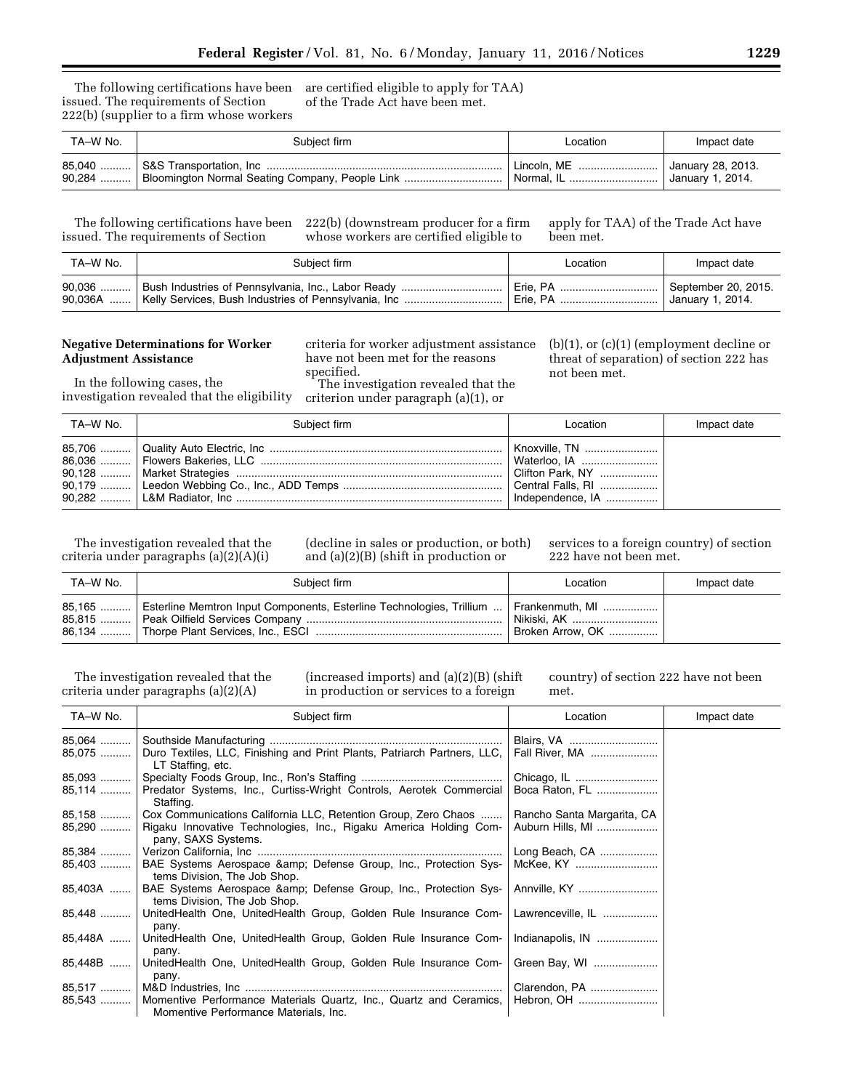The following certifications have been issued. The requirements of Section 222(b) (supplier to a firm whose workers

are certified eligible to apply for TAA) of the Trade Act have been met.

| TA-W No. | Subject firm                                            | Location           | Impact date       |
|----------|---------------------------------------------------------|--------------------|-------------------|
|          |                                                         |                    | January 28, 2013. |
|          | 90,284  Bloomington Normal Seating Company, People Link | <b>Normal. IL </b> | January 1, 2014.  |

issued. The requirements of Section

The following certifications have been 222(b) (downstream producer for a firm whose workers are certified eligible to apply for TAA) of the Trade Act have been met.

| TA-W No. | Subject firm                                                    | Location | Impact date         |
|----------|-----------------------------------------------------------------|----------|---------------------|
|          | 90,036  Bush Industries of Pennsylvania, Inc., Labor Ready      | Erie, PA | September 20, 2015. |
|          | 90,036A    Kelly Services, Bush Industries of Pennsylvania, Inc |          | January 1, 2014.    |

# **Negative Determinations for Worker Adjustment Assistance**

criteria for worker adjustment assistance have not been met for the reasons specified.

The investigation revealed that the criterion under paragraph (a)(1), or

(b)(1), or (c)(1) (employment decline or threat of separation) of section 222 has not been met.

In the following cases, the investigation revealed that the eligibility

| TA–W No. | Subject firm | Location | Impact date |
|----------|--------------|----------|-------------|
|          |              |          |             |

The investigation revealed that the criteria under paragraphs (a)(2)(A)(i)

(decline in sales or production, or both) and (a)(2)(B) (shift in production or

services to a foreign country) of section 222 have not been met.

| TA-W No. | Subject firm                                                                                      | Location         | Impact date |
|----------|---------------------------------------------------------------------------------------------------|------------------|-------------|
|          | 85,165    Esterline Memtron Input Components, Esterline Technologies, Trillium    Frankenmuth, MI | Broken Arrow, OK |             |

The investigation revealed that the criteria under paragraphs (a)(2)(A)

(increased imports) and (a)(2)(B) (shift in production or services to a foreign

country) of section 222 have not been met.

| TA-W No.           | Subject firm                                                                                  | Location                     | Impact date |
|--------------------|-----------------------------------------------------------------------------------------------|------------------------------|-------------|
| $85,064$<br>85,075 | Duro Textiles, LLC, Finishing and Print Plants, Patriarch Partners, LLC,<br>LT Staffing, etc. | Blairs, VA<br>Fall River, MA |             |
| 85,093             |                                                                                               |                              |             |
| 85,114             | Predator Systems, Inc., Curtiss-Wright Controls, Aerotek Commercial<br>Staffing.              | Boca Raton, FL               |             |
| 85,158             | Cox Communications California LLC, Retention Group, Zero Chaos                                | Rancho Santa Margarita, CA   |             |
| 85,290             | Rigaku Innovative Technologies, Inc., Rigaku America Holding Com-<br>pany, SAXS Systems.      | Auburn Hills, MI             |             |
|                    |                                                                                               | Long Beach, CA               |             |
| 85,403             | BAE Systems Aerospace & Defense Group, Inc., Protection Sys-<br>tems Division, The Job Shop.  | McKee, KY                    |             |
| 85,403A            | BAE Systems Aerospace & Defense Group, Inc., Protection Sys-<br>tems Division, The Job Shop.  | Annville, KY                 |             |
| 85,448             | UnitedHealth One, UnitedHealth Group, Golden Rule Insurance Com-   Lawrenceville, IL<br>pany. |                              |             |
| 85,448A            | UnitedHealth One, UnitedHealth Group, Golden Rule Insurance Com-   Indianapolis, IN<br>pany.  |                              |             |
| 85,448B            | UnitedHealth One, UnitedHealth Group, Golden Rule Insurance Com-                              | Green Bay, WI                |             |
|                    | pany.                                                                                         |                              |             |
|                    |                                                                                               | Clarendon, PA                |             |
| 85,543             | Momentive Performance Materials Quartz, Inc., Quartz and Ceramics,                            | Hebron, OH                   |             |
|                    | Momentive Performance Materials, Inc.                                                         |                              |             |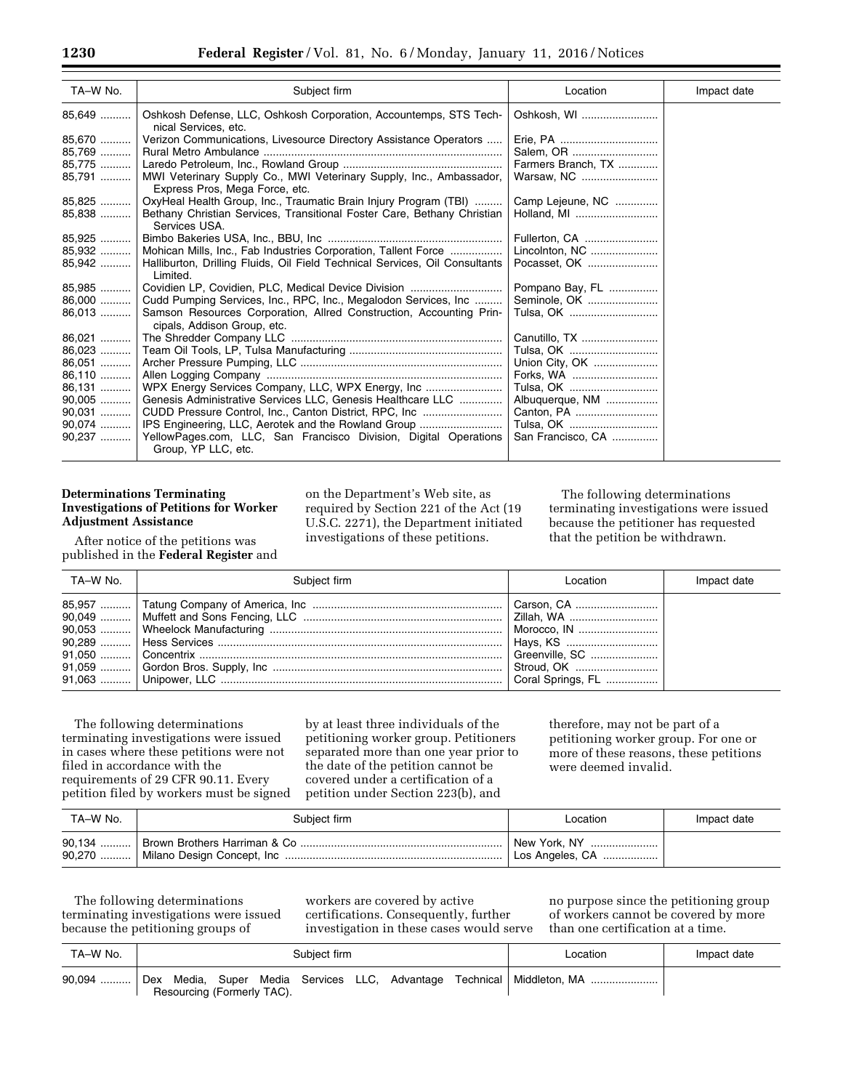| TA-W No. | Subject firm                                                                                          | Location           | Impact date |
|----------|-------------------------------------------------------------------------------------------------------|--------------------|-------------|
| 85,649   | Oshkosh Defense, LLC, Oshkosh Corporation, Accountemps, STS Tech-<br>nical Services, etc.             | Oshkosh, WI        |             |
| 85,670   | Verizon Communications, Livesource Directory Assistance Operators                                     |                    |             |
| 85,769   |                                                                                                       |                    |             |
| 85,775   |                                                                                                       | Farmers Branch, TX |             |
| 85,791   | MWI Veterinary Supply Co., MWI Veterinary Supply, Inc., Ambassador,<br>Express Pros, Mega Force, etc. | Warsaw, NC         |             |
| $85,825$ | OxyHeal Health Group, Inc., Traumatic Brain Injury Program (TBI)                                      | Camp Lejeune, NC   |             |
| 85,838   | Bethany Christian Services, Transitional Foster Care, Bethany Christian<br>Services USA.              | Holland, MI        |             |
| 85,925   |                                                                                                       | Fullerton, CA      |             |
| 85,932   | Mohican Mills, Inc., Fab Industries Corporation, Tallent Force                                        | Lincolnton, NC     |             |
| 85,942   | Halliburton, Drilling Fluids, Oil Field Technical Services, Oil Consultants<br>Limited.               | Pocasset, OK       |             |
| 85,985   | Covidien LP, Covidien, PLC, Medical Device Division                                                   | Pompano Bay, FL    |             |
| 86,000   | Cudd Pumping Services, Inc., RPC, Inc., Megalodon Services, Inc                                       | Seminole, OK       |             |
| 86,013   | Samson Resources Corporation, Allred Construction, Accounting Prin-<br>cipals, Addison Group, etc.    | Tulsa, OK          |             |
| 86,021   |                                                                                                       | Canutillo, TX      |             |
| 86.023   |                                                                                                       | Tulsa, OK          |             |
| 86,051   |                                                                                                       | Union City, OK     |             |
| $86,110$ |                                                                                                       | Forks, WA          |             |
| 86,131   |                                                                                                       |                    |             |
| $90,005$ | Genesis Administrative Services LLC, Genesis Healthcare LLC                                           | Albuquerque, NM    |             |
| 90,031   | CUDD Pressure Control, Inc., Canton District, RPC, Inc                                                |                    |             |
| 90,074   | IPS Engineering, LLC, Aerotek and the Rowland Group                                                   | Tulsa, OK          |             |
| 90,237   | YellowPages.com, LLC, San Francisco Division, Digital Operations                                      | San Francisco, CA  |             |
|          | Group, YP LLC, etc.                                                                                   |                    |             |

# **Determinations Terminating Investigations of Petitions for Worker Adjustment Assistance**

After notice of the petitions was published in the **Federal Register** and on the Department's Web site, as required by Section 221 of the Act (19 U.S.C. 2271), the Department initiated investigations of these petitions.

The following determinations terminating investigations were issued because the petitioner has requested that the petition be withdrawn.

| TA–W No. | Subject firm | Location       | Impact date |
|----------|--------------|----------------|-------------|
|          |              | Greenville, SC |             |

The following determinations terminating investigations were issued in cases where these petitions were not filed in accordance with the requirements of 29 CFR 90.11. Every petition filed by workers must be signed

by at least three individuals of the petitioning worker group. Petitioners separated more than one year prior to the date of the petition cannot be covered under a certification of a petition under Section 223(b), and

therefore, may not be part of a petitioning worker group. For one or more of these reasons, these petitions were deemed invalid.

| TA–W No. | Subject firm | Location                        | Impact date |
|----------|--------------|---------------------------------|-------------|
|          |              | New York, NY<br>Los Angeles, CA |             |

The following determinations terminating investigations were issued because the petitioning groups of

workers are covered by active certifications. Consequently, further investigation in these cases would serve no purpose since the petitioning group of workers cannot be covered by more than one certification at a time.

| TA–W No. | Subiect firm |                            |  |  |  | Location | Impact date                                                            |  |
|----------|--------------|----------------------------|--|--|--|----------|------------------------------------------------------------------------|--|
|          |              | Resourcing (Formerly TAC). |  |  |  |          | Dex Media, Super Media Services LLC, Advantage Technical Middleton, MA |  |